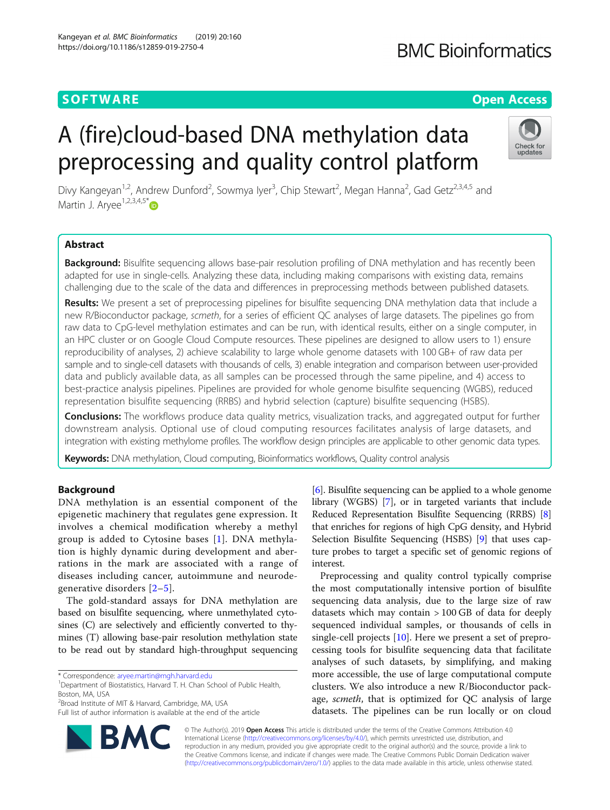# **SOFTWARE SOFTWARE** *CONSERVERSE EXECUTIVE EXECUTIVE EXECUTIVE EXECUTIVE EXECUTIVE EXECUTIVE EXECUTIVE EXECUTIVE EXECUTIVE EXECUTIVE EXECUTIVE EXECUTIVE EXECUTIVE EXECUTIVE EXECUTIVE EXECUTIVE EXECUTIVE EXECUTIVE EXECUT*

# **BMC Bioinformatics**

# A (fire)cloud-based DNA methylation data preprocessing and quality control platform



Divy Kangeyan<sup>1,2</sup>, Andrew Dunford<sup>2</sup>, Sowmya Iyer<sup>3</sup>, Chip Stewart<sup>2</sup>, Megan Hanna<sup>2</sup>, Gad Getz<sup>2,3,4,5</sup> and Martin J. Arvee<sup>1,2,3,4,5\*</sup> $\bullet$ 

# Abstract

**Background:** Bisulfite sequencing allows base-pair resolution profiling of DNA methylation and has recently been adapted for use in single-cells. Analyzing these data, including making comparisons with existing data, remains challenging due to the scale of the data and differences in preprocessing methods between published datasets.

Results: We present a set of preprocessing pipelines for bisulfite sequencing DNA methylation data that include a new R/Bioconductor package, scmeth, for a series of efficient QC analyses of large datasets. The pipelines go from raw data to CpG-level methylation estimates and can be run, with identical results, either on a single computer, in an HPC cluster or on Google Cloud Compute resources. These pipelines are designed to allow users to 1) ensure reproducibility of analyses, 2) achieve scalability to large whole genome datasets with 100 GB+ of raw data per sample and to single-cell datasets with thousands of cells, 3) enable integration and comparison between user-provided data and publicly available data, as all samples can be processed through the same pipeline, and 4) access to best-practice analysis pipelines. Pipelines are provided for whole genome bisulfite sequencing (WGBS), reduced representation bisulfite sequencing (RRBS) and hybrid selection (capture) bisulfite sequencing (HSBS).

**Conclusions:** The workflows produce data quality metrics, visualization tracks, and aggregated output for further downstream analysis. Optional use of cloud computing resources facilitates analysis of large datasets, and integration with existing methylome profiles. The workflow design principles are applicable to other genomic data types.

Keywords: DNA methylation, Cloud computing, Bioinformatics workflows, Quality control analysis

# Background

DNA methylation is an essential component of the epigenetic machinery that regulates gene expression. It involves a chemical modification whereby a methyl group is added to Cytosine bases [[1\]](#page-4-0). DNA methylation is highly dynamic during development and aberrations in the mark are associated with a range of diseases including cancer, autoimmune and neurodegenerative disorders [[2](#page-4-0)–[5\]](#page-4-0).

The gold-standard assays for DNA methylation are based on bisulfite sequencing, where unmethylated cytosines (C) are selectively and efficiently converted to thymines (T) allowing base-pair resolution methylation state to be read out by standard high-throughput sequencing

**BM** 



Preprocessing and quality control typically comprise the most computationally intensive portion of bisulfite sequencing data analysis, due to the large size of raw datasets which may contain  $> 100$  GB of data for deeply sequenced individual samples, or thousands of cells in single-cell projects [\[10\]](#page-4-0). Here we present a set of preprocessing tools for bisulfite sequencing data that facilitate analyses of such datasets, by simplifying, and making more accessible, the use of large computational compute clusters. We also introduce a new R/Bioconductor package, scmeth, that is optimized for QC analysis of large datasets. The pipelines can be run locally or on cloud

© The Author(s). 2019 Open Access This article is distributed under the terms of the Creative Commons Attribution 4.0 International License [\(http://creativecommons.org/licenses/by/4.0/](http://creativecommons.org/licenses/by/4.0/)), which permits unrestricted use, distribution, and reproduction in any medium, provided you give appropriate credit to the original author(s) and the source, provide a link to the Creative Commons license, and indicate if changes were made. The Creative Commons Public Domain Dedication waiver [\(http://creativecommons.org/publicdomain/zero/1.0/](http://creativecommons.org/publicdomain/zero/1.0/)) applies to the data made available in this article, unless otherwise stated.

<sup>\*</sup> Correspondence: [aryee.martin@mgh.harvard.edu](mailto:aryee.martin@mgh.harvard.edu) <sup>1</sup>

<sup>&</sup>lt;sup>1</sup>Department of Biostatistics, Harvard T. H. Chan School of Public Health, Boston, MA, USA

<sup>&</sup>lt;sup>2</sup> Broad Institute of MIT & Harvard, Cambridge, MA, USA

Full list of author information is available at the end of the article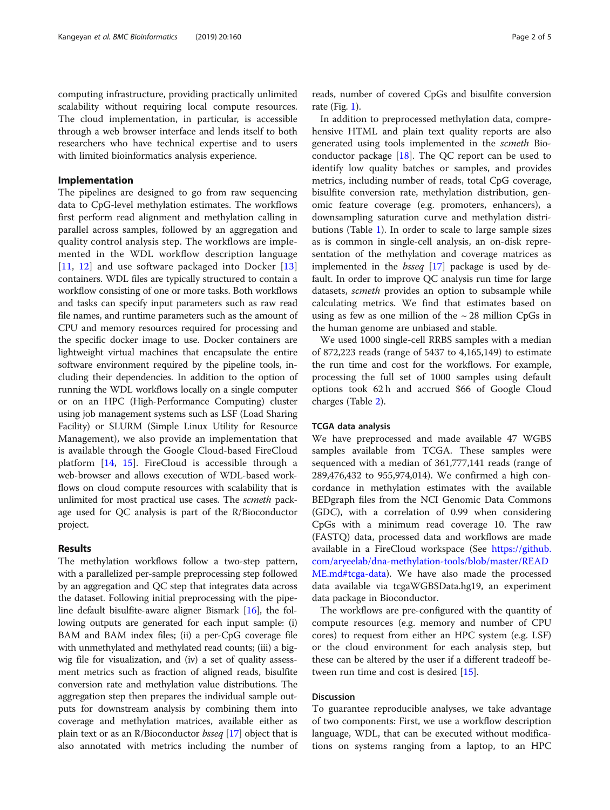computing infrastructure, providing practically unlimited scalability without requiring local compute resources. The cloud implementation, in particular, is accessible through a web browser interface and lends itself to both researchers who have technical expertise and to users with limited bioinformatics analysis experience.

# Implementation

The pipelines are designed to go from raw sequencing data to CpG-level methylation estimates. The workflows first perform read alignment and methylation calling in parallel across samples, followed by an aggregation and quality control analysis step. The workflows are implemented in the WDL workflow description language [[11](#page-4-0), [12](#page-4-0)] and use software packaged into Docker [\[13](#page-4-0)] containers. WDL files are typically structured to contain a workflow consisting of one or more tasks. Both workflows and tasks can specify input parameters such as raw read file names, and runtime parameters such as the amount of CPU and memory resources required for processing and the specific docker image to use. Docker containers are lightweight virtual machines that encapsulate the entire software environment required by the pipeline tools, including their dependencies. In addition to the option of running the WDL workflows locally on a single computer or on an HPC (High-Performance Computing) cluster using job management systems such as LSF (Load Sharing Facility) or SLURM (Simple Linux Utility for Resource Management), we also provide an implementation that is available through the Google Cloud-based FireCloud platform [[14,](#page-4-0) [15\]](#page-4-0). FireCloud is accessible through a web-browser and allows execution of WDL-based workflows on cloud compute resources with scalability that is unlimited for most practical use cases. The scmeth package used for QC analysis is part of the R/Bioconductor project.

# Results

The methylation workflows follow a two-step pattern, with a parallelized per-sample preprocessing step followed by an aggregation and QC step that integrates data across the dataset. Following initial preprocessing with the pipeline default bisulfite-aware aligner Bismark [[16](#page-4-0)], the following outputs are generated for each input sample: (i) BAM and BAM index files; (ii) a per-CpG coverage file with unmethylated and methylated read counts; (iii) a bigwig file for visualization, and (iv) a set of quality assessment metrics such as fraction of aligned reads, bisulfite conversion rate and methylation value distributions. The aggregation step then prepares the individual sample outputs for downstream analysis by combining them into coverage and methylation matrices, available either as plain text or as an R/Bioconductor bsseq [[17](#page-4-0)] object that is also annotated with metrics including the number of reads, number of covered CpGs and bisulfite conversion rate (Fig. [1](#page-2-0)).

In addition to preprocessed methylation data, comprehensive HTML and plain text quality reports are also generated using tools implemented in the scmeth Bioconductor package  $[18]$  $[18]$ . The QC report can be used to identify low quality batches or samples, and provides metrics, including number of reads, total CpG coverage, bisulfite conversion rate, methylation distribution, genomic feature coverage (e.g. promoters, enhancers), a downsampling saturation curve and methylation distributions (Table [1](#page-2-0)). In order to scale to large sample sizes as is common in single-cell analysis, an on-disk representation of the methylation and coverage matrices as implemented in the *bsseq* [\[17\]](#page-4-0) package is used by default. In order to improve QC analysis run time for large datasets, scmeth provides an option to subsample while calculating metrics. We find that estimates based on using as few as one million of the  $\sim$  28 million CpGs in the human genome are unbiased and stable.

We used 1000 single-cell RRBS samples with a median of 872,223 reads (range of 5437 to 4,165,149) to estimate the run time and cost for the workflows. For example, processing the full set of 1000 samples using default options took 62 h and accrued \$66 of Google Cloud charges (Table [2\)](#page-3-0).

### TCGA data analysis

We have preprocessed and made available 47 WGBS samples available from TCGA. These samples were sequenced with a median of 361,777,141 reads (range of 289,476,432 to 955,974,014). We confirmed a high concordance in methylation estimates with the available BEDgraph files from the NCI Genomic Data Commons (GDC), with a correlation of 0.99 when considering CpGs with a minimum read coverage 10. The raw (FASTQ) data, processed data and workflows are made available in a FireCloud workspace (See [https://github.](https://github.com/aryeelab/dna-methylation-tools/blob/master/README.md#tcga-data) [com/aryeelab/dna-methylation-tools/blob/master/READ](https://github.com/aryeelab/dna-methylation-tools/blob/master/README.md#tcga-data) [ME.md#tcga-data](https://github.com/aryeelab/dna-methylation-tools/blob/master/README.md#tcga-data)). We have also made the processed data available via tcgaWGBSData.hg19, an experiment data package in Bioconductor.

The workflows are pre-configured with the quantity of compute resources (e.g. memory and number of CPU cores) to request from either an HPC system (e.g. LSF) or the cloud environment for each analysis step, but these can be altered by the user if a different tradeoff between run time and cost is desired [[15](#page-4-0)].

# Discussion

To guarantee reproducible analyses, we take advantage of two components: First, we use a workflow description language, WDL, that can be executed without modifications on systems ranging from a laptop, to an HPC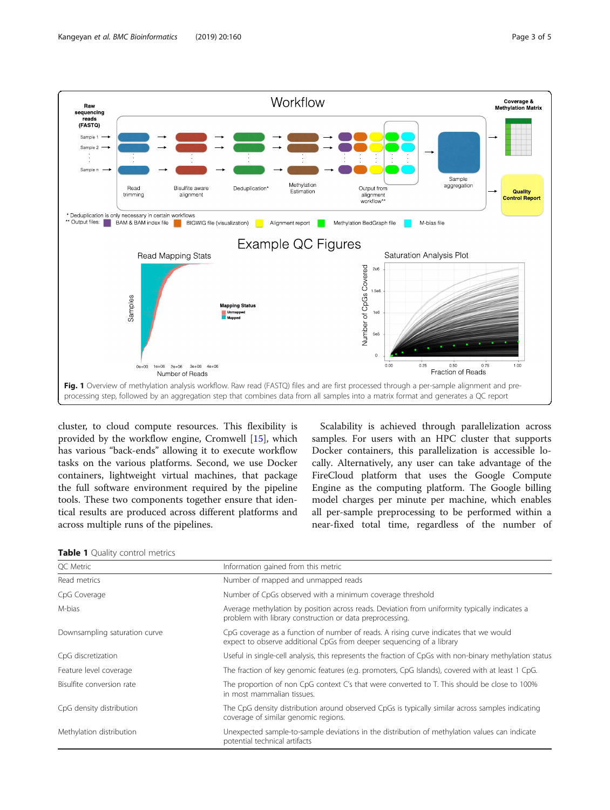<span id="page-2-0"></span>

cluster, to cloud compute resources. This flexibility is provided by the workflow engine, Cromwell [\[15](#page-4-0)], which has various "back-ends" allowing it to execute workflow tasks on the various platforms. Second, we use Docker containers, lightweight virtual machines, that package the full software environment required by the pipeline tools. These two components together ensure that identical results are produced across different platforms and across multiple runs of the pipelines.

Scalability is achieved through parallelization across samples. For users with an HPC cluster that supports Docker containers, this parallelization is accessible locally. Alternatively, any user can take advantage of the FireCloud platform that uses the Google Compute Engine as the computing platform. The Google billing model charges per minute per machine, which enables all per-sample preprocessing to be performed within a near-fixed total time, regardless of the number of

|  |  |  |  | <b>Table 1</b> Quality control metrics |
|--|--|--|--|----------------------------------------|
|--|--|--|--|----------------------------------------|

| QC Metric                     | Information gained from this metric                                                                                                                            |  |
|-------------------------------|----------------------------------------------------------------------------------------------------------------------------------------------------------------|--|
| Read metrics                  | Number of mapped and unmapped reads                                                                                                                            |  |
| CpG Coverage                  | Number of CpGs observed with a minimum coverage threshold                                                                                                      |  |
| M-bias                        | Average methylation by position across reads. Deviation from uniformity typically indicates a<br>problem with library construction or data preprocessing.      |  |
| Downsampling saturation curve | CpG coverage as a function of number of reads. A rising curve indicates that we would<br>expect to observe additional CpGs from deeper sequencing of a library |  |
| CpG discretization            | Useful in single-cell analysis, this represents the fraction of CpGs with non-binary methylation status                                                        |  |
| Feature level coverage        | The fraction of key genomic features (e.g. promoters, CpG Islands), covered with at least 1 CpG.                                                               |  |
| Bisulfite conversion rate     | The proportion of non CpG context C's that were converted to T. This should be close to 100%<br>in most mammalian tissues.                                     |  |
| CpG density distribution      | The CpG density distribution around observed CpGs is typically similar across samples indicating<br>coverage of similar genomic regions.                       |  |
| Methylation distribution      | Unexpected sample-to-sample deviations in the distribution of methylation values can indicate<br>potential technical artifacts                                 |  |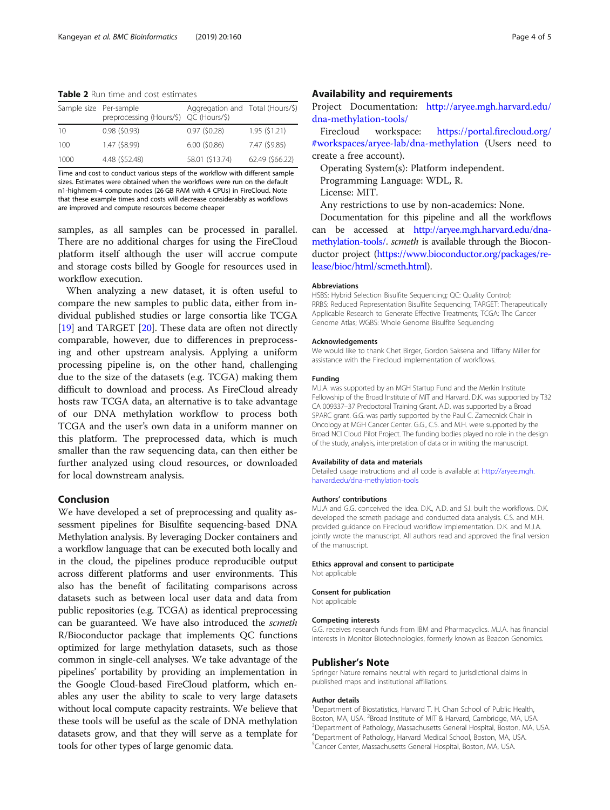<span id="page-3-0"></span>Table 2 Run time and cost estimates

| Sample size Per-sample | preprocessing (Hours/\$) QC (Hours/\$) | Aggregation and Total (Hours/\$) |                 |
|------------------------|----------------------------------------|----------------------------------|-----------------|
| 10                     | $0.98$ (\$0.93)                        | $0.97$ (\$0.28)                  | 1.95(51.21)     |
| 100                    | 1.47 (\$8.99)                          | $6.00$ (\$0.86)                  | 7.47 (\$9.85)   |
| 1000                   | 4.48 (\$52.48)                         | 58.01 (\$13.74)                  | 62.49 (\$66.22) |

Time and cost to conduct various steps of the workflow with different sample sizes. Estimates were obtained when the workflows were run on the default n1-highmem-4 compute nodes (26 GB RAM with 4 CPUs) in FireCloud. Note that these example times and costs will decrease considerably as workflows are improved and compute resources become cheaper

samples, as all samples can be processed in parallel. There are no additional charges for using the FireCloud platform itself although the user will accrue compute and storage costs billed by Google for resources used in workflow execution.

When analyzing a new dataset, it is often useful to compare the new samples to public data, either from individual published studies or large consortia like TCGA [[19\]](#page-4-0) and TARGET [\[20](#page-4-0)]. These data are often not directly comparable, however, due to differences in preprocessing and other upstream analysis. Applying a uniform processing pipeline is, on the other hand, challenging due to the size of the datasets (e.g. TCGA) making them difficult to download and process. As FireCloud already hosts raw TCGA data, an alternative is to take advantage of our DNA methylation workflow to process both TCGA and the user's own data in a uniform manner on this platform. The preprocessed data, which is much smaller than the raw sequencing data, can then either be further analyzed using cloud resources, or downloaded for local downstream analysis.

# Conclusion

We have developed a set of preprocessing and quality assessment pipelines for Bisulfite sequencing-based DNA Methylation analysis. By leveraging Docker containers and a workflow language that can be executed both locally and in the cloud, the pipelines produce reproducible output across different platforms and user environments. This also has the benefit of facilitating comparisons across datasets such as between local user data and data from public repositories (e.g. TCGA) as identical preprocessing can be guaranteed. We have also introduced the scmeth R/Bioconductor package that implements QC functions optimized for large methylation datasets, such as those common in single-cell analyses. We take advantage of the pipelines' portability by providing an implementation in the Google Cloud-based FireCloud platform, which enables any user the ability to scale to very large datasets without local compute capacity restraints. We believe that these tools will be useful as the scale of DNA methylation datasets grow, and that they will serve as a template for tools for other types of large genomic data.

# Availability and requirements

Project Documentation: [http://aryee.mgh.harvard.edu/](http://aryee.mgh.harvard.edu/dna-methylation-tools) [dna-methylation-tools/](http://aryee.mgh.harvard.edu/dna-methylation-tools)

Firecloud workspace: [https://portal.firecloud.org/](https://portal.firecloud.org/#workspaces/aryee-lab/dna-methylation) [#workspaces/aryee-lab/dna-methylation](https://portal.firecloud.org/#workspaces/aryee-lab/dna-methylation) (Users need to create a free account).

Operating System(s): Platform independent.

Programming Language: WDL, R.

License: MIT.

Any restrictions to use by non-academics: None.

Documentation for this pipeline and all the workflows can be accessed at [http://aryee.mgh.harvard.edu/dna](http://aryee.mgh.harvard.edu/dna-methylation-tools)[methylation-tools/.](http://aryee.mgh.harvard.edu/dna-methylation-tools) scmeth is available through the Bioconductor project [\(https://www.bioconductor.org/packages/re](https://www.bioconductor.org/packages/release/bioc/html/scmeth.html)[lease/bioc/html/scmeth.html\)](https://www.bioconductor.org/packages/release/bioc/html/scmeth.html).

#### Abbreviations

HSBS: Hybrid Selection Bisulfite Sequencing; QC: Quality Control; RRBS: Reduced Representation Bisulfite Sequencing; TARGET: Therapeutically Applicable Research to Generate Effective Treatments; TCGA: The Cancer Genome Atlas; WGBS: Whole Genome Bisulfite Sequencing

#### Acknowledgements

We would like to thank Chet Birger, Gordon Saksena and Tiffany Miller for assistance with the Firecloud implementation of workflows.

#### Funding

M.J.A. was supported by an MGH Startup Fund and the Merkin Institute Fellowship of the Broad Institute of MIT and Harvard. D.K. was supported by T32 CA 009337–37 Predoctoral Training Grant. A.D. was supported by a Broad SPARC grant. G.G. was partly supported by the Paul C. Zamecnick Chair in Oncology at MGH Cancer Center. G.G., C.S. and M.H. were supported by the Broad NCI Cloud Pilot Project. The funding bodies played no role in the design of the study, analysis, interpretation of data or in writing the manuscript.

#### Availability of data and materials

Detailed usage instructions and all code is available at [http://aryee.mgh.](http://aryee.mgh.harvard.edu/dna-methylation-tools) [harvard.edu/dna-methylation-tools](http://aryee.mgh.harvard.edu/dna-methylation-tools)

#### Authors' contributions

M.J.A and G.G. conceived the idea. D.K., A.D. and S.I. built the workflows. D.K. developed the scmeth package and conducted data analysis. C.S. and M.H. provided guidance on Firecloud workflow implementation. D.K. and M.J.A. jointly wrote the manuscript. All authors read and approved the final version of the manuscript.

#### Ethics approval and consent to participate

Not applicable

#### Consent for publication

Not applicable

#### Competing interests

G.G. receives research funds from IBM and Pharmacyclics. M.J.A. has financial interests in Monitor Biotechnologies, formerly known as Beacon Genomics.

#### Publisher's Note

Springer Nature remains neutral with regard to jurisdictional claims in published maps and institutional affiliations.

#### Author details

<sup>1</sup>Department of Biostatistics, Harvard T. H. Chan School of Public Health, Boston, MA, USA. <sup>2</sup>Broad Institute of MIT & Harvard, Cambridge, MA, USA.<br><sup>3</sup>Department of Pathology, Massachusetts General Hospital Boston, MA Department of Pathology, Massachusetts General Hospital, Boston, MA, USA. 4 Department of Pathology, Harvard Medical School, Boston, MA, USA. 5 Cancer Center, Massachusetts General Hospital, Boston, MA, USA.